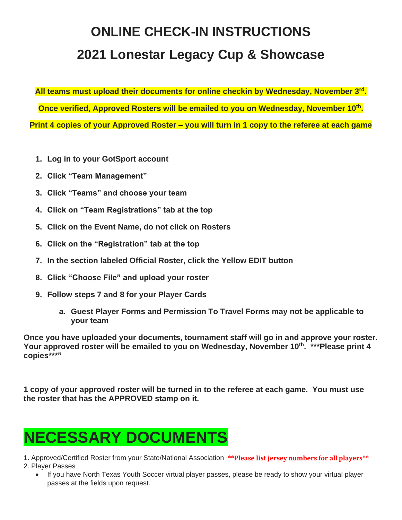# **ONLINE CHECK-IN INSTRUCTIONS 2021 Lonestar Legacy Cup & Showcase**

**All teams must upload their documents for online checkin by Wednesday, November 3rd .**

**Once verified, Approved Rosters will be emailed to you on Wednesday, November 10th .**

**Print 4 copies of your Approved Roster – you will turn in 1 copy to the referee at each game**

- **1. Log in to your GotSport account**
- **2. Click "Team Management"**
- **3. Click "Teams" and choose your team**
- **4. Click on "Team Registrations" tab at the top**
- **5. Click on the Event Name, do not click on Rosters**
- **6. Click on the "Registration" tab at the top**
- **7. In the section labeled Official Roster, click the Yellow EDIT button**
- **8. Click "Choose File" and upload your roster**
- **9. Follow steps 7 and 8 for your Player Cards**
	- **a. Guest Player Forms and Permission To Travel Forms may not be applicable to your team**

**Once you have uploaded your documents, tournament staff will go in and approve your roster. Your approved roster will be emailed to you on Wednesday, November 10th. \*\*\*Please print 4 copies\*\*\*"**

**1 copy of your approved roster will be turned in to the referee at each game. You must use the roster that has the APPROVED stamp on it.**

# **NECESSARY DOCUMENTS**

1. Approved/Certified Roster from your State/National Association **\*\*Please list jersey numbers for all players\*\*** 2. Player Passes

• If you have North Texas Youth Soccer virtual player passes, please be ready to show your virtual player passes at the fields upon request.